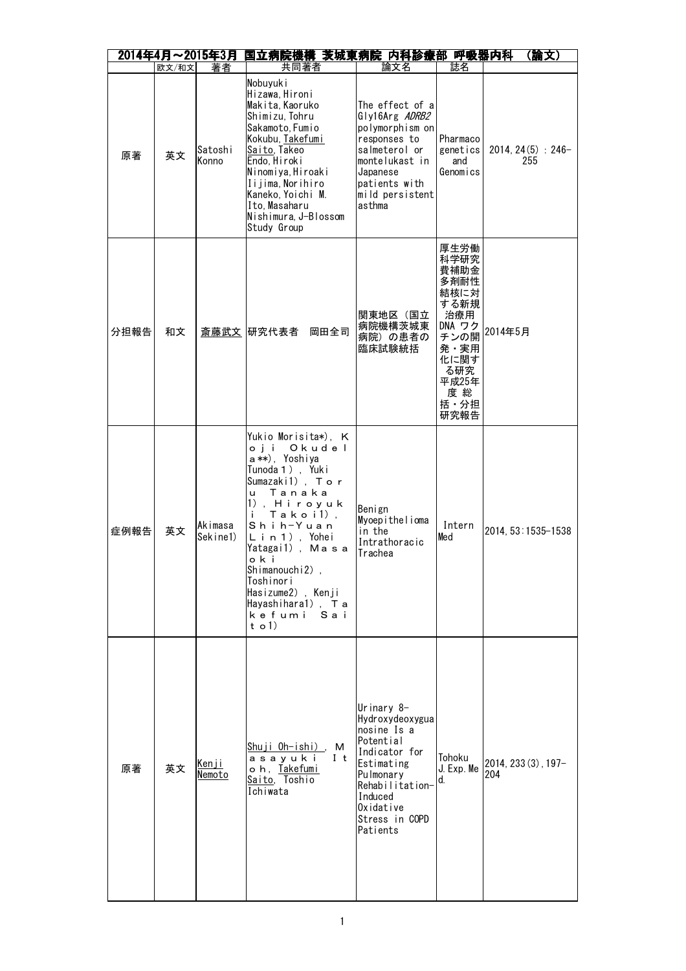|      |       | 2014年4月~2015年3月        | 国立病院機構 茨城東病院 内科診療部 呼吸器内科                                                                                                                                                                                                                                                                                   |                                                                                                                                                                                |                                                                                                                             | (論文)                        |
|------|-------|------------------------|------------------------------------------------------------------------------------------------------------------------------------------------------------------------------------------------------------------------------------------------------------------------------------------------------------|--------------------------------------------------------------------------------------------------------------------------------------------------------------------------------|-----------------------------------------------------------------------------------------------------------------------------|-----------------------------|
|      | 欧文/和文 | 著者                     | 共同著者                                                                                                                                                                                                                                                                                                       | 論文名                                                                                                                                                                            | 誌名                                                                                                                          |                             |
| 原著   | 英文    | Satoshi<br>Konno       | Nobuyuk i<br>Hizawa, Hironi<br>Makita, Kaoruko<br>Shimizu, Tohru<br>Sakamoto, Fumio<br>Kokubu, Takefumi<br>Saito, Takeo<br>Endo, Hiroki<br>Ninomiya, Hiroaki<br>Iijima, Norihiro<br>Kaneko, Yoichi M.<br>Ito. Masaharu<br>Nishimura, J-Blossom<br>Study Group                                              | The effect of a<br>Gly16Arg ADRB2<br>polymorphism on<br>responses to<br>salmeterol or<br>montelukast in<br>Japanese<br>patients with<br>mild persistent<br>asthma              | Pharmaco<br>genetics<br>and<br>Genomics                                                                                     | $2014, 24(5) : 246-$<br>255 |
| 分担報告 | 和文    |                        | 斎藤武文 研究代表者<br>岡田全司                                                                                                                                                                                                                                                                                         | 関東地区(国立<br>病院機構茨城東<br>病院)の患者の<br>臨床試験統括                                                                                                                                        | 厚生労働<br>科学研究<br>費補助金<br>多剤耐性<br>結核に対<br>する新規<br>治療用<br>DNA ワク<br>チンの開<br>発・実用<br>化に関す<br>る研究<br>平成25年<br>度総<br>括・分担<br>研究報告 | 2014年5月                     |
| 症例報告 | 英文    | Akimasa<br>Sekine1)    | Yukio Morisita*), K<br>oji Okudel<br>a**), Yoshiya<br>Tunoda 1), Yuki<br>Sumazaki1), Tor<br>u Tanaka<br>1), Hiroyuk<br>$Tako$ i $1$ ),<br>j.<br>Shih-Yuan<br>Lin 1), Yohei<br>Yatagai1), Masa<br>oki<br>Shimanouchi2),<br>Toshinori<br>Hasizume2), Kenji<br>Hayashihara1), Ta<br>kefumi<br>Sai<br>t o $1)$ | Benign<br>Myoepithelioma<br>in the<br>Intrathoracic<br>Trachea                                                                                                                 | Intern<br>Med                                                                                                               | 2014, 53:1535-1538          |
| 原著   | 英文    | <u>Kenji</u><br>Nemoto | Shuji Oh-ishi), M<br>asayuki<br>It<br>oh, Takefumi<br>Saito, Toshio<br>Ichiwata                                                                                                                                                                                                                            | Urinary 8-<br>Hydroxydeoxygua<br>nosine Is a<br>Potential<br>Indicator for<br>Estimating<br>Pulmonary<br>Rehabilitation-<br>Induced<br>Oxidative<br>Stress in COPD<br>Patients | Tohoku<br>J. Exp. Me<br>d.                                                                                                  | 2014, 233 (3), 197-<br>204  |